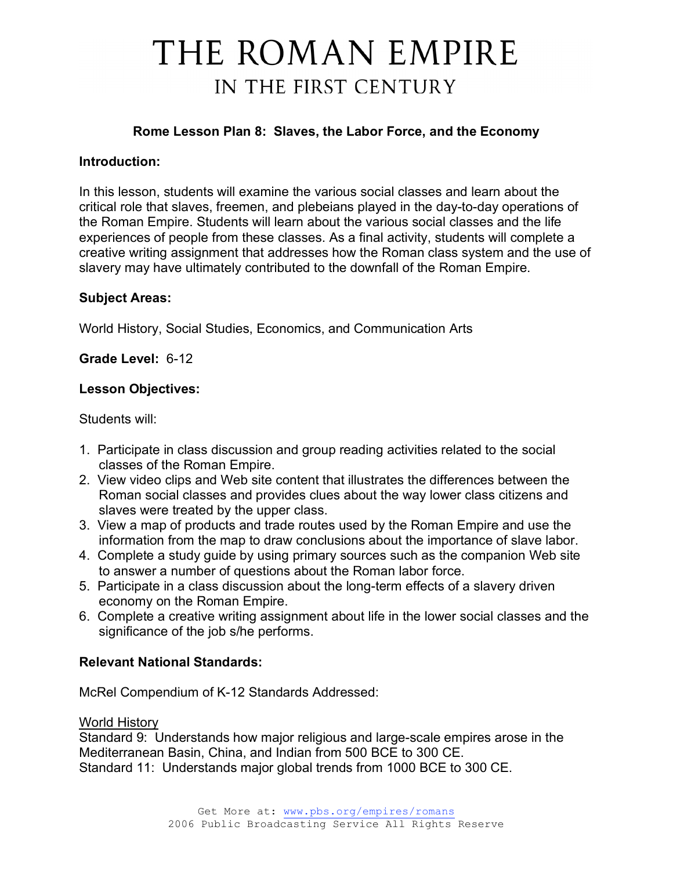## **Rome Lesson Plan 8: Slaves, the Labor Force, and the Economy**

### **Introduction:**

In this lesson, students will examine the various social classes and learn about the critical role that slaves, freemen, and plebeians played in the day-to-day operations of the Roman Empire. Students will learn about the various social classes and the life experiences of people from these classes. As a final activity, students will complete a creative writing assignment that addresses how the Roman class system and the use of slavery may have ultimately contributed to the downfall of the Roman Empire.

#### **Subject Areas:**

World History, Social Studies, Economics, and Communication Arts

**Grade Level:** 6-12

#### **Lesson Objectives:**

Students will:

- 1. Participate in class discussion and group reading activities related to the social classes of the Roman Empire.
- 2. View video clips and Web site content that illustrates the differences between the Roman social classes and provides clues about the way lower class citizens and slaves were treated by the upper class.
- 3. View a map of products and trade routes used by the Roman Empire and use the information from the map to draw conclusions about the importance of slave labor.
- 4. Complete a study guide by using primary sources such as the companion Web site to answer a number of questions about the Roman labor force.
- 5. Participate in a class discussion about the long-term effects of a slavery driven economy on the Roman Empire.
- 6. Complete a creative writing assignment about life in the lower social classes and the significance of the job s/he performs.

## **Relevant National Standards:**

McRel Compendium of K-12 Standards Addressed:

#### World History

Standard 9: Understands how major religious and large-scale empires arose in the Mediterranean Basin, China, and Indian from 500 BCE to 300 CE. Standard 11: Understands major global trends from 1000 BCE to 300 CE.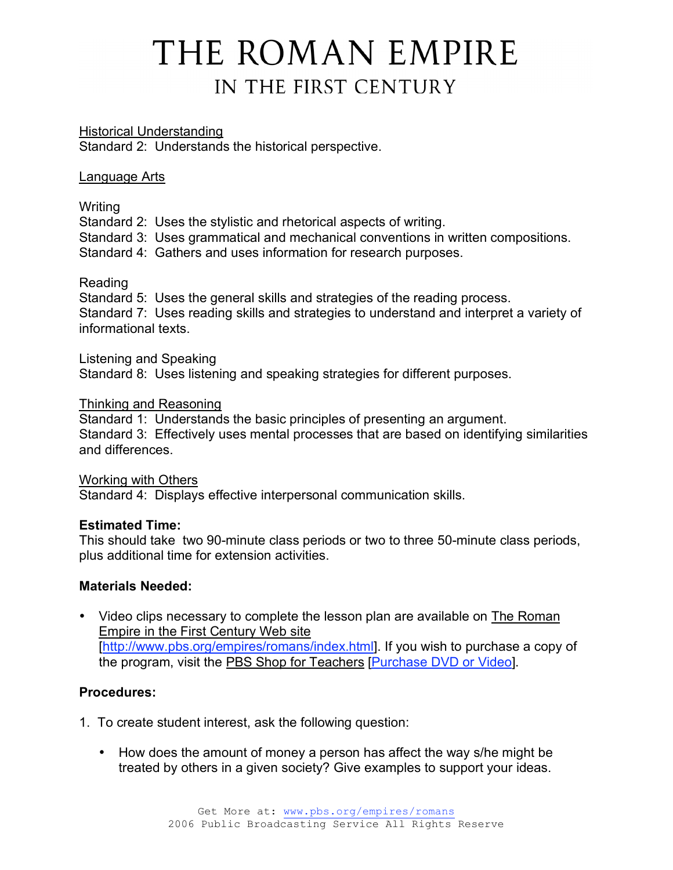Historical Understanding Standard 2: Understands the historical perspective.

#### Language Arts

Writing

Standard 2: Uses the stylistic and rhetorical aspects of writing.

Standard 3: Uses grammatical and mechanical conventions in written compositions.

Standard 4: Gathers and uses information for research purposes.

## Reading

Standard 5: Uses the general skills and strategies of the reading process. Standard 7: Uses reading skills and strategies to understand and interpret a variety of informational texts.

#### Listening and Speaking

Standard 8: Uses listening and speaking strategies for different purposes.

#### Thinking and Reasoning

Standard 1: Understands the basic principles of presenting an argument. Standard 3: Effectively uses mental processes that are based on identifying similarities and differences.

#### Working with Others

Standard 4: Displays effective interpersonal communication skills.

## **Estimated Time:**

This should take two 90-minute class periods or two to three 50-minute class periods, plus additional time for extension activities.

## **Materials Needed:**

• Video clips necessary to complete the lesson plan are available on The Roman Empire in the First Century Web site [http://www.pbs.org/empires/romans/index.html]. If you wish to purchase a copy of the program, visit the PBS Shop for Teachers [Purchase DVD or Video].

## **Procedures:**

- 1. To create student interest, ask the following question:
	- How does the amount of money a person has affect the way s/he might be treated by others in a given society? Give examples to support your ideas.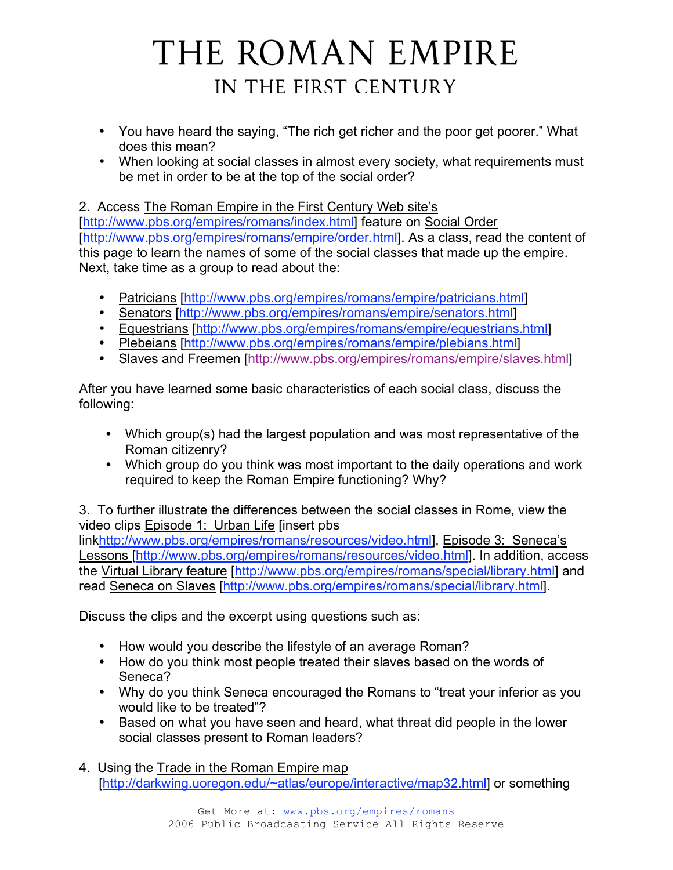- You have heard the saying, "The rich get richer and the poor get poorer." What does this mean?
- When looking at social classes in almost every society, what requirements must be met in order to be at the top of the social order?

2. Access The Roman Empire in the First Century Web site's

[http://www.pbs.org/empires/romans/index.html] feature on Social Order [http://www.pbs.org/empires/romans/empire/order.html]. As a class, read the content of this page to learn the names of some of the social classes that made up the empire. Next, take time as a group to read about the:

- Patricians [http://www.pbs.org/empires/romans/empire/patricians.html]
- Senators [http://www.pbs.org/empires/romans/empire/senators.html]
- Equestrians [http://www.pbs.org/empires/romans/empire/equestrians.html]
- Plebeians [http://www.pbs.org/empires/romans/empire/plebians.html]
- Slaves and Freemen [http://www.pbs.org/empires/romans/empire/slaves.html]

After you have learned some basic characteristics of each social class, discuss the following:

- Which group(s) had the largest population and was most representative of the Roman citizenry?
- Which group do you think was most important to the daily operations and work required to keep the Roman Empire functioning? Why?

3. To further illustrate the differences between the social classes in Rome, view the video clips Episode 1: Urban Life [insert pbs

linkhttp://www.pbs.org/empires/romans/resources/video.html], Episode 3: Seneca's Lessons [http://www.pbs.org/empires/romans/resources/video.html]. In addition, access the Virtual Library feature [http://www.pbs.org/empires/romans/special/library.html] and read Seneca on Slaves [http://www.pbs.org/empires/romans/special/library.html].

Discuss the clips and the excerpt using questions such as:

- How would you describe the lifestyle of an average Roman?
- How do you think most people treated their slaves based on the words of Seneca?
- Why do you think Seneca encouraged the Romans to "treat your inferior as you would like to be treated"?
- Based on what you have seen and heard, what threat did people in the lower social classes present to Roman leaders?
- 4. Using the Trade in the Roman Empire map [http://darkwing.uoregon.edu/~atlas/europe/interactive/map32.html] or something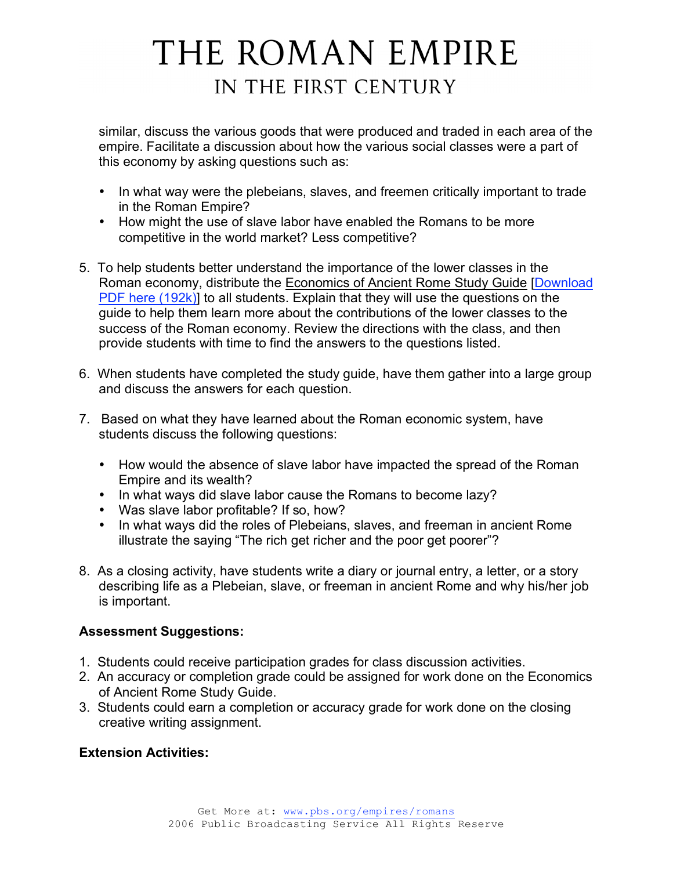similar, discuss the various goods that were produced and traded in each area of the empire. Facilitate a discussion about how the various social classes were a part of this economy by asking questions such as:

- In what way were the plebeians, slaves, and freemen critically important to trade in the Roman Empire?
- How might the use of slave labor have enabled the Romans to be more competitive in the world market? Less competitive?
- 5. To help students better understand the importance of the lower classes in the Roman economy, distribute the Economics of Ancient Rome Study Guide [Download PDF here (192k)] to all students. Explain that they will use the questions on the guide to help them learn more about the contributions of the lower classes to the success of the Roman economy. Review the directions with the class, and then provide students with time to find the answers to the questions listed.
- 6. When students have completed the study guide, have them gather into a large group and discuss the answers for each question.
- 7. Based on what they have learned about the Roman economic system, have students discuss the following questions:
	- How would the absence of slave labor have impacted the spread of the Roman Empire and its wealth?
	- In what ways did slave labor cause the Romans to become lazy?
	- Was slave labor profitable? If so, how?
	- In what ways did the roles of Plebeians, slaves, and freeman in ancient Rome illustrate the saying "The rich get richer and the poor get poorer"?
- 8. As a closing activity, have students write a diary or journal entry, a letter, or a story describing life as a Plebeian, slave, or freeman in ancient Rome and why his/her job is important.

## **Assessment Suggestions:**

- 1. Students could receive participation grades for class discussion activities.
- 2. An accuracy or completion grade could be assigned for work done on the Economics of Ancient Rome Study Guide.
- 3. Students could earn a completion or accuracy grade for work done on the closing creative writing assignment.

## **Extension Activities:**